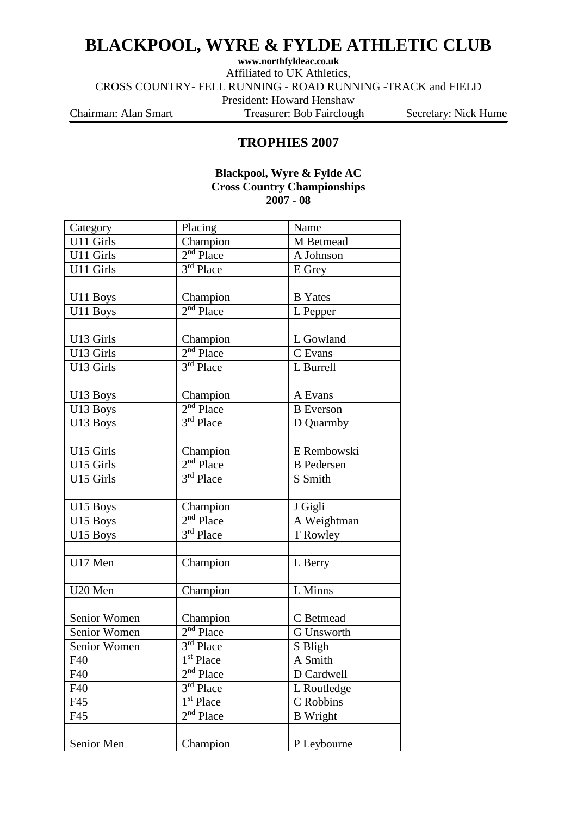# **BLACKPOOL, WYRE & FYLDE ATHLETIC CLUB**

**www.northfyldeac.co.uk** Affiliated to UK Athletics, CROSS COUNTRY- FELL RUNNING - ROAD RUNNING -TRACK and FIELD President: Howard Henshaw Chairman: Alan Smart Treasurer: Bob Fairclough Secretary: Nick Hume

### **TROPHIES 2007**

### **Blackpool, Wyre & Fylde AC Cross Country Championships 2007 - 08**

| Category     | Placing                            | Name              |  |
|--------------|------------------------------------|-------------------|--|
| U11 Girls    | Champion                           | M Betmead         |  |
| U11 Girls    | $2nd$ Place                        | A Johnson         |  |
| U11 Girls    | $3rd$ Place                        | E Grey            |  |
|              |                                    |                   |  |
| U11 Boys     | Champion                           | <b>B</b> Yates    |  |
| U11 Boys     | $2nd$ Place                        | L Pepper          |  |
|              |                                    |                   |  |
| U13 Girls    | Champion                           | L Gowland         |  |
| U13 Girls    | $2nd$ Place                        | C Evans           |  |
| U13 Girls    | 3rd Place                          | L Burrell         |  |
|              |                                    |                   |  |
| U13 Boys     | Champion                           | A Evans           |  |
| U13 Boys     | $2nd$ Place                        | <b>B</b> Everson  |  |
| U13 Boys     | $3rd$ Place                        | D Quarmby         |  |
|              |                                    |                   |  |
| U15 Girls    | Champion                           | E Rembowski       |  |
| U15 Girls    | $2nd$ Place                        | <b>B</b> Pedersen |  |
| U15 Girls    | $3rd$ Place                        | S Smith           |  |
|              |                                    |                   |  |
| U15 Boys     | Champion                           | J Gigli           |  |
| U15 Boys     | $2nd$ Place                        | A Weightman       |  |
| U15 Boys     | $3rd$ Place                        | T Rowley          |  |
|              |                                    |                   |  |
| U17 Men      | Champion                           | L Berry           |  |
|              |                                    |                   |  |
| U20 Men      | Champion                           | L Minns           |  |
|              |                                    |                   |  |
| Senior Women | Champion                           | C Betmead         |  |
| Senior Women | $2nd$ Place                        | <b>G</b> Unsworth |  |
| Senior Women | 3rd Place                          | S Bligh           |  |
| F40          | 1 <sup>st</sup> Place              | A Smith           |  |
| F40          | $2nd$ Place                        | D Cardwell        |  |
| F40          | $3rd$ Place                        | L Routledge       |  |
| F45          | $\overline{1}$ <sup>st</sup> Place | C Robbins         |  |
| F45          | $2nd$ Place                        | <b>B</b> Wright   |  |
|              |                                    |                   |  |
| Senior Men   | Champion                           | P Leybourne       |  |